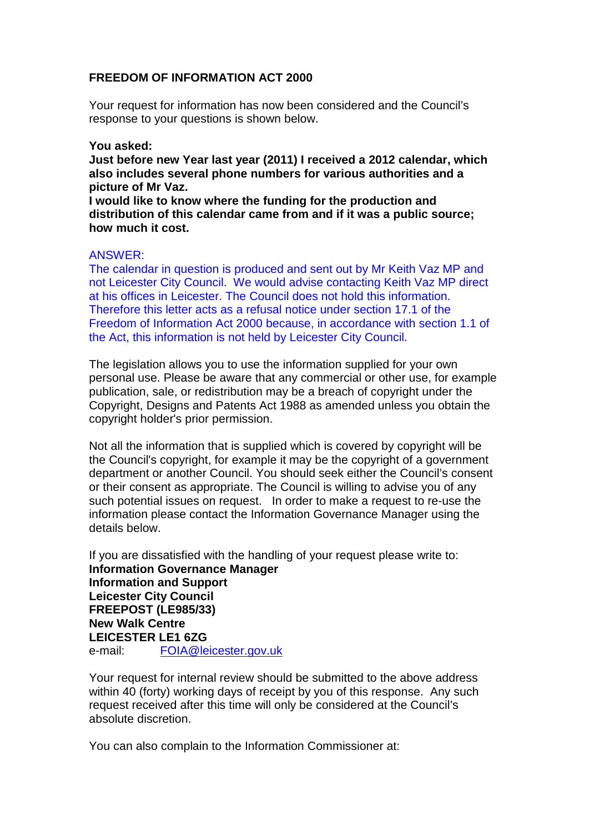## **FREEDOM OF INFORMATION ACT 2000**

Your request for information has now been considered and the Council's response to your questions is shown below.

## **You asked:**

**Just before new Year last year (2011) I received a 2012 calendar, which also includes several phone numbers for various authorities and a picture of Mr Vaz.**

**I would like to know where the funding for the production and distribution of this calendar came from and if it was a public source; how much it cost.**

## ANSWER:

The calendar in question is produced and sent out by Mr Keith Vaz MP and not Leicester City Council. We would advise contacting Keith Vaz MP direct at his offices in Leicester. The Council does not hold this information. Therefore this letter acts as a refusal notice under section 17.1 of the Freedom of Information Act 2000 because, in accordance with section 1.1 of the Act, this information is not held by Leicester City Council.

The legislation allows you to use the information supplied for your own personal use. Please be aware that any commercial or other use, for example publication, sale, or redistribution may be a breach of copyright under the Copyright, Designs and Patents Act 1988 as amended unless you obtain the copyright holder's prior permission.

Not all the information that is supplied which is covered by copyright will be the Council's copyright, for example it may be the copyright of a government department or another Council. You should seek either the Council's consent or their consent as appropriate. The Council is willing to advise you of any such potential issues on request. In order to make a request to re-use the information please contact the Information Governance Manager using the details below.

If you are dissatisfied with the handling of your request please write to: **Information Governance Manager Information and Support Leicester City Council FREEPOST (LE985/33) New Walk Centre LEICESTER LE1 6ZG**  e-mail: FOIA@leicester.gov.uk

Your request for internal review should be submitted to the above address within 40 (forty) working days of receipt by you of this response. Any such request received after this time will only be considered at the Council's absolute discretion.

You can also complain to the Information Commissioner at: